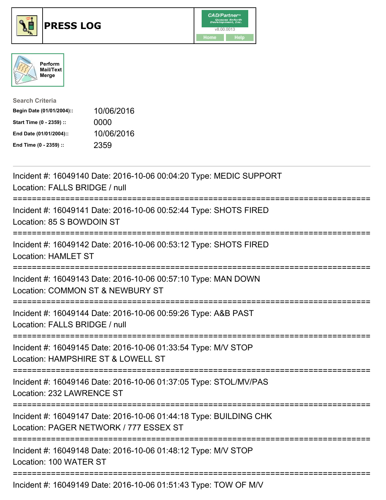





| <b>Search Criteria</b>    |            |
|---------------------------|------------|
| Begin Date (01/01/2004):: | 10/06/2016 |
| Start Time (0 - 2359) ::  | 0000       |
| End Date (01/01/2004)::   | 10/06/2016 |
| End Time (0 - 2359) ::    | 2359       |

| Incident #: 16049140 Date: 2016-10-06 00:04:20 Type: MEDIC SUPPORT<br>Location: FALLS BRIDGE / null                                                |
|----------------------------------------------------------------------------------------------------------------------------------------------------|
| Incident #: 16049141 Date: 2016-10-06 00:52:44 Type: SHOTS FIRED<br>Location: 85 S BOWDOIN ST                                                      |
| Incident #: 16049142 Date: 2016-10-06 00:53:12 Type: SHOTS FIRED<br><b>Location: HAMLET ST</b>                                                     |
| Incident #: 16049143 Date: 2016-10-06 00:57:10 Type: MAN DOWN<br>Location: COMMON ST & NEWBURY ST                                                  |
| Incident #: 16049144 Date: 2016-10-06 00:59:26 Type: A&B PAST<br>Location: FALLS BRIDGE / null                                                     |
| Incident #: 16049145 Date: 2016-10-06 01:33:54 Type: M/V STOP<br>Location: HAMPSHIRE ST & LOWELL ST<br>============================                |
| Incident #: 16049146 Date: 2016-10-06 01:37:05 Type: STOL/MV/PAS<br>Location: 232 LAWRENCE ST                                                      |
| Incident #: 16049147 Date: 2016-10-06 01:44:18 Type: BUILDING CHK<br>Location: PAGER NETWORK / 777 ESSEX ST<br>;================================== |
| Incident #: 16049148 Date: 2016-10-06 01:48:12 Type: M/V STOP<br>Location: 100 WATER ST                                                            |
| Incident #: 16049149 Date: 2016-10-06 01:51:43 Type: TOW OF M/V                                                                                    |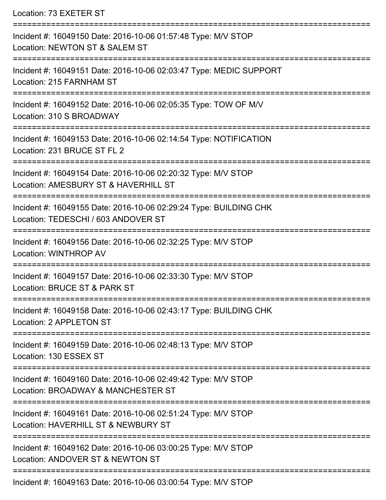Location: 73 EXETER ST

| Incident #: 16049150 Date: 2016-10-06 01:57:48 Type: M/V STOP<br>Location: NEWTON ST & SALEM ST                             |
|-----------------------------------------------------------------------------------------------------------------------------|
| Incident #: 16049151 Date: 2016-10-06 02:03:47 Type: MEDIC SUPPORT<br>Location: 215 FARNHAM ST                              |
| Incident #: 16049152 Date: 2016-10-06 02:05:35 Type: TOW OF M/V<br>Location: 310 S BROADWAY                                 |
| Incident #: 16049153 Date: 2016-10-06 02:14:54 Type: NOTIFICATION<br>Location: 231 BRUCE ST FL 2                            |
| Incident #: 16049154 Date: 2016-10-06 02:20:32 Type: M/V STOP<br>Location: AMESBURY ST & HAVERHILL ST                       |
| Incident #: 16049155 Date: 2016-10-06 02:29:24 Type: BUILDING CHK<br>Location: TEDESCHI / 603 ANDOVER ST                    |
| Incident #: 16049156 Date: 2016-10-06 02:32:25 Type: M/V STOP<br><b>Location: WINTHROP AV</b>                               |
| Incident #: 16049157 Date: 2016-10-06 02:33:30 Type: M/V STOP<br>Location: BRUCE ST & PARK ST                               |
| Incident #: 16049158 Date: 2016-10-06 02:43:17 Type: BUILDING CHK<br>Location: 2 APPLETON ST                                |
| Incident #: 16049159 Date: 2016-10-06 02:48:13 Type: M/V STOP<br>Location: 130 ESSEX ST                                     |
| --------------------<br>Incident #: 16049160 Date: 2016-10-06 02:49:42 Type: M/V STOP<br>Location: BROADWAY & MANCHESTER ST |
| Incident #: 16049161 Date: 2016-10-06 02:51:24 Type: M/V STOP<br>Location: HAVERHILL ST & NEWBURY ST                        |
| Incident #: 16049162 Date: 2016-10-06 03:00:25 Type: M/V STOP<br>Location: ANDOVER ST & NEWTON ST                           |
| Incident #: 16049163 Date: 2016-10-06 03:00:54 Type: M/V STOP                                                               |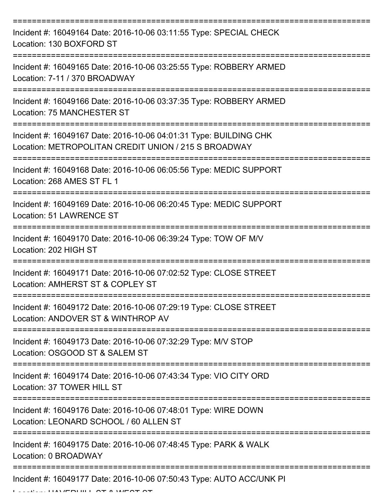| Incident #: 16049164 Date: 2016-10-06 03:11:55 Type: SPECIAL CHECK<br>Location: 130 BOXFORD ST                            |
|---------------------------------------------------------------------------------------------------------------------------|
| Incident #: 16049165 Date: 2016-10-06 03:25:55 Type: ROBBERY ARMED<br>Location: 7-11 / 370 BROADWAY                       |
| Incident #: 16049166 Date: 2016-10-06 03:37:35 Type: ROBBERY ARMED<br>Location: 75 MANCHESTER ST                          |
| Incident #: 16049167 Date: 2016-10-06 04:01:31 Type: BUILDING CHK<br>Location: METROPOLITAN CREDIT UNION / 215 S BROADWAY |
| Incident #: 16049168 Date: 2016-10-06 06:05:56 Type: MEDIC SUPPORT<br>Location: 268 AMES ST FL 1                          |
| Incident #: 16049169 Date: 2016-10-06 06:20:45 Type: MEDIC SUPPORT<br><b>Location: 51 LAWRENCE ST</b>                     |
| Incident #: 16049170 Date: 2016-10-06 06:39:24 Type: TOW OF M/V<br>Location: 202 HIGH ST                                  |
| Incident #: 16049171 Date: 2016-10-06 07:02:52 Type: CLOSE STREET<br>Location: AMHERST ST & COPLEY ST                     |
| Incident #: 16049172 Date: 2016-10-06 07:29:19 Type: CLOSE STREET<br>Location: ANDOVER ST & WINTHROP AV                   |
| Incident #: 16049173 Date: 2016-10-06 07:32:29 Type: M/V STOP<br>Location: OSGOOD ST & SALEM ST                           |
| Incident #: 16049174 Date: 2016-10-06 07:43:34 Type: VIO CITY ORD<br>Location: 37 TOWER HILL ST                           |
| =============<br>Incident #: 16049176 Date: 2016-10-06 07:48:01 Type: WIRE DOWN<br>Location: LEONARD SCHOOL / 60 ALLEN ST |
| Incident #: 16049175 Date: 2016-10-06 07:48:45 Type: PARK & WALK<br>Location: 0 BROADWAY                                  |
| Incident #: 16049177 Date: 2016-10-06 07:50:43 Type: AUTO ACC/UNK PI                                                      |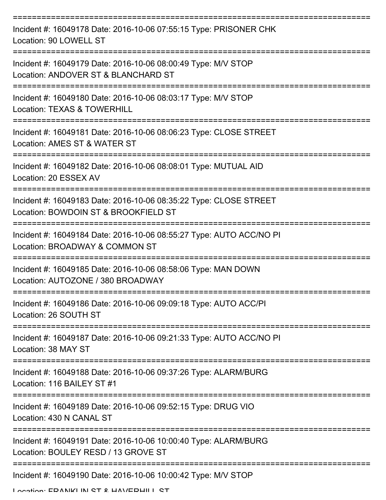| Incident #: 16049178 Date: 2016-10-06 07:55:15 Type: PRISONER CHK<br>Location: 90 LOWELL ST                                                     |
|-------------------------------------------------------------------------------------------------------------------------------------------------|
| Incident #: 16049179 Date: 2016-10-06 08:00:49 Type: M/V STOP<br>Location: ANDOVER ST & BLANCHARD ST                                            |
| Incident #: 16049180 Date: 2016-10-06 08:03:17 Type: M/V STOP<br>Location: TEXAS & TOWERHILL                                                    |
| Incident #: 16049181 Date: 2016-10-06 08:06:23 Type: CLOSE STREET<br>Location: AMES ST & WATER ST                                               |
| Incident #: 16049182 Date: 2016-10-06 08:08:01 Type: MUTUAL AID<br>Location: 20 ESSEX AV                                                        |
| ==================================<br>Incident #: 16049183 Date: 2016-10-06 08:35:22 Type: CLOSE STREET<br>Location: BOWDOIN ST & BROOKFIELD ST |
| Incident #: 16049184 Date: 2016-10-06 08:55:27 Type: AUTO ACC/NO PI<br>Location: BROADWAY & COMMON ST                                           |
| Incident #: 16049185 Date: 2016-10-06 08:58:06 Type: MAN DOWN<br>Location: AUTOZONE / 380 BROADWAY                                              |
| Incident #: 16049186 Date: 2016-10-06 09:09:18 Type: AUTO ACC/PI<br>Location: 26 SOUTH ST                                                       |
| Incident #: 16049187 Date: 2016-10-06 09:21:33 Type: AUTO ACC/NO PI<br>Location: 38 MAY ST                                                      |
| Incident #: 16049188 Date: 2016-10-06 09:37:26 Type: ALARM/BURG<br>Location: 116 BAILEY ST #1                                                   |
| Incident #: 16049189 Date: 2016-10-06 09:52:15 Type: DRUG VIO<br>Location: 430 N CANAL ST                                                       |
| Incident #: 16049191 Date: 2016-10-06 10:00:40 Type: ALARM/BURG<br>Location: BOULEY RESD / 13 GROVE ST                                          |
| Incident #: 16049190 Date: 2016-10-06 10:00:42 Type: M/V STOP                                                                                   |

Location: EDANIKLIN ST & HAVEDHILL ST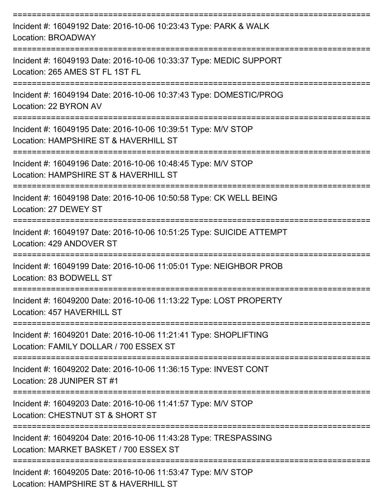| Incident #: 16049192 Date: 2016-10-06 10:23:43 Type: PARK & WALK<br><b>Location: BROADWAY</b>              |
|------------------------------------------------------------------------------------------------------------|
| Incident #: 16049193 Date: 2016-10-06 10:33:37 Type: MEDIC SUPPORT<br>Location: 265 AMES ST FL 1ST FL      |
| Incident #: 16049194 Date: 2016-10-06 10:37:43 Type: DOMESTIC/PROG<br>Location: 22 BYRON AV                |
| Incident #: 16049195 Date: 2016-10-06 10:39:51 Type: M/V STOP<br>Location: HAMPSHIRE ST & HAVERHILL ST     |
| Incident #: 16049196 Date: 2016-10-06 10:48:45 Type: M/V STOP<br>Location: HAMPSHIRE ST & HAVERHILL ST     |
| Incident #: 16049198 Date: 2016-10-06 10:50:58 Type: CK WELL BEING<br>Location: 27 DEWEY ST                |
| Incident #: 16049197 Date: 2016-10-06 10:51:25 Type: SUICIDE ATTEMPT<br>Location: 429 ANDOVER ST           |
| Incident #: 16049199 Date: 2016-10-06 11:05:01 Type: NEIGHBOR PROB<br>Location: 83 BODWELL ST              |
| Incident #: 16049200 Date: 2016-10-06 11:13:22 Type: LOST PROPERTY<br>Location: 457 HAVERHILL ST           |
| Incident #: 16049201 Date: 2016-10-06 11:21:41 Type: SHOPLIFTING<br>Location: FAMILY DOLLAR / 700 ESSEX ST |
| Incident #: 16049202 Date: 2016-10-06 11:36:15 Type: INVEST CONT<br>Location: 28 JUNIPER ST #1             |
| Incident #: 16049203 Date: 2016-10-06 11:41:57 Type: M/V STOP<br>Location: CHESTNUT ST & SHORT ST          |
| Incident #: 16049204 Date: 2016-10-06 11:43:28 Type: TRESPASSING<br>Location: MARKET BASKET / 700 ESSEX ST |
| Incident #: 16049205 Date: 2016-10-06 11:53:47 Type: M/V STOP<br>Location: UAMPOURE CT & UAVEDURI CT       |

Location: HAMPSHIRE ST & HAVERHILL ST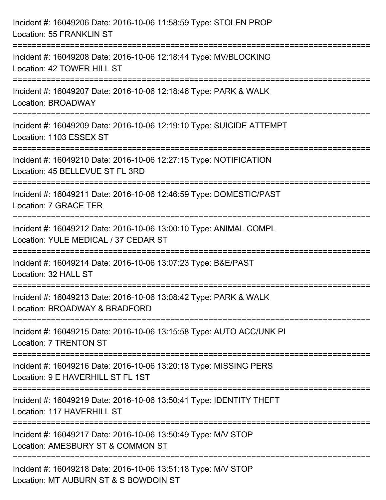| Incident #: 16049206 Date: 2016-10-06 11:58:59 Type: STOLEN PROP<br>Location: 55 FRANKLIN ST                                                                  |
|---------------------------------------------------------------------------------------------------------------------------------------------------------------|
| =====================================<br>Incident #: 16049208 Date: 2016-10-06 12:18:44 Type: MV/BLOCKING<br>Location: 42 TOWER HILL ST<br>------------------ |
| Incident #: 16049207 Date: 2016-10-06 12:18:46 Type: PARK & WALK<br>Location: BROADWAY                                                                        |
| Incident #: 16049209 Date: 2016-10-06 12:19:10 Type: SUICIDE ATTEMPT<br>Location: 1103 ESSEX ST                                                               |
| Incident #: 16049210 Date: 2016-10-06 12:27:15 Type: NOTIFICATION<br>Location: 45 BELLEVUE ST FL 3RD                                                          |
| Incident #: 16049211 Date: 2016-10-06 12:46:59 Type: DOMESTIC/PAST<br>Location: 7 GRACE TER                                                                   |
| --------------------------<br>Incident #: 16049212 Date: 2016-10-06 13:00:10 Type: ANIMAL COMPL<br>Location: YULE MEDICAL / 37 CEDAR ST                       |
| Incident #: 16049214 Date: 2016-10-06 13:07:23 Type: B&E/PAST<br>Location: 32 HALL ST                                                                         |
| Incident #: 16049213 Date: 2016-10-06 13:08:42 Type: PARK & WALK<br>Location: BROADWAY & BRADFORD                                                             |
| Incident #: 16049215 Date: 2016-10-06 13:15:58 Type: AUTO ACC/UNK PI<br><b>Location: 7 TRENTON ST</b>                                                         |
| Incident #: 16049216 Date: 2016-10-06 13:20:18 Type: MISSING PERS<br>Location: 9 E HAVERHILL ST FL 1ST                                                        |
| Incident #: 16049219 Date: 2016-10-06 13:50:41 Type: IDENTITY THEFT<br>Location: 117 HAVERHILL ST                                                             |
| Incident #: 16049217 Date: 2016-10-06 13:50:49 Type: M/V STOP<br>Location: AMESBURY ST & COMMON ST                                                            |
| Incident #: 16049218 Date: 2016-10-06 13:51:18 Type: M/V STOP<br>Location: MT AUBURN ST & S BOWDOIN ST                                                        |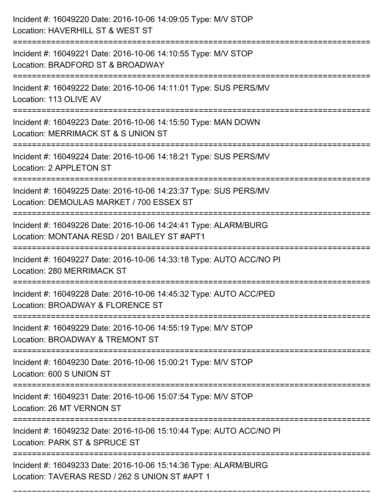| Incident #: 16049220 Date: 2016-10-06 14:09:05 Type: M/V STOP<br>Location: HAVERHILL ST & WEST ST                       |
|-------------------------------------------------------------------------------------------------------------------------|
| Incident #: 16049221 Date: 2016-10-06 14:10:55 Type: M/V STOP<br>Location: BRADFORD ST & BROADWAY                       |
| Incident #: 16049222 Date: 2016-10-06 14:11:01 Type: SUS PERS/MV<br>Location: 113 OLIVE AV                              |
| Incident #: 16049223 Date: 2016-10-06 14:15:50 Type: MAN DOWN<br>Location: MERRIMACK ST & S UNION ST                    |
| Incident #: 16049224 Date: 2016-10-06 14:18:21 Type: SUS PERS/MV<br>Location: 2 APPLETON ST                             |
| Incident #: 16049225 Date: 2016-10-06 14:23:37 Type: SUS PERS/MV<br>Location: DEMOULAS MARKET / 700 ESSEX ST            |
| Incident #: 16049226 Date: 2016-10-06 14:24:41 Type: ALARM/BURG<br>Location: MONTANA RESD / 201 BAILEY ST #APT1         |
| Incident #: 16049227 Date: 2016-10-06 14:33:18 Type: AUTO ACC/NO PI<br>Location: 280 MERRIMACK ST                       |
| Incident #: 16049228 Date: 2016-10-06 14:45:32 Type: AUTO ACC/PED<br>Location: BROADWAY & FLORENCE ST                   |
| Incident #: 16049229 Date: 2016-10-06 14:55:19 Type: M/V STOP<br>Location: BROADWAY & TREMONT ST<br>------------------- |
| Incident #: 16049230 Date: 2016-10-06 15:00:21 Type: M/V STOP<br>Location: 600 S UNION ST                               |
| Incident #: 16049231 Date: 2016-10-06 15:07:54 Type: M/V STOP<br>Location: 26 MT VERNON ST                              |
| Incident #: 16049232 Date: 2016-10-06 15:10:44 Type: AUTO ACC/NO PI<br>Location: PARK ST & SPRUCE ST                    |
| Incident #: 16049233 Date: 2016-10-06 15:14:36 Type: ALARM/BURG<br>Location: TAVERAS RESD / 262 S UNION ST #APT 1       |

===========================================================================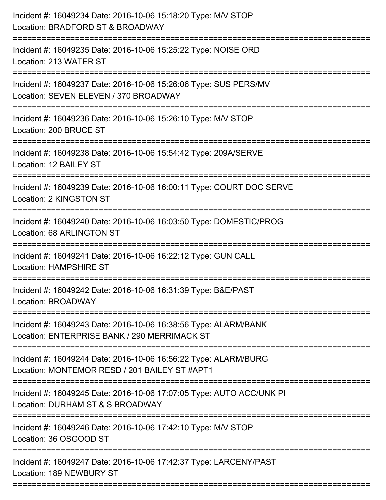| Incident #: 16049234 Date: 2016-10-06 15:18:20 Type: M/V STOP<br>Location: BRADFORD ST & BROADWAY                                  |
|------------------------------------------------------------------------------------------------------------------------------------|
| =====================<br>Incident #: 16049235 Date: 2016-10-06 15:25:22 Type: NOISE ORD<br>Location: 213 WATER ST                  |
| Incident #: 16049237 Date: 2016-10-06 15:26:06 Type: SUS PERS/MV<br>Location: SEVEN ELEVEN / 370 BROADWAY<br>===================== |
| Incident #: 16049236 Date: 2016-10-06 15:26:10 Type: M/V STOP<br>Location: 200 BRUCE ST                                            |
| Incident #: 16049238 Date: 2016-10-06 15:54:42 Type: 209A/SERVE<br>Location: 12 BAILEY ST<br>==============================        |
| Incident #: 16049239 Date: 2016-10-06 16:00:11 Type: COURT DOC SERVE<br><b>Location: 2 KINGSTON ST</b>                             |
| Incident #: 16049240 Date: 2016-10-06 16:03:50 Type: DOMESTIC/PROG<br>Location: 68 ARLINGTON ST                                    |
| Incident #: 16049241 Date: 2016-10-06 16:22:12 Type: GUN CALL<br><b>Location: HAMPSHIRE ST</b>                                     |
| Incident #: 16049242 Date: 2016-10-06 16:31:39 Type: B&E/PAST<br>Location: BROADWAY                                                |
| Incident #: 16049243 Date: 2016-10-06 16:38:56 Type: ALARM/BANK<br>Location: ENTERPRISE BANK / 290 MERRIMACK ST                    |
| Incident #: 16049244 Date: 2016-10-06 16:56:22 Type: ALARM/BURG<br>Location: MONTEMOR RESD / 201 BAILEY ST #APT1                   |
| Incident #: 16049245 Date: 2016-10-06 17:07:05 Type: AUTO ACC/UNK PI<br>Location: DURHAM ST & S BROADWAY                           |
| Incident #: 16049246 Date: 2016-10-06 17:42:10 Type: M/V STOP<br>Location: 36 OSGOOD ST                                            |
| Incident #: 16049247 Date: 2016-10-06 17:42:37 Type: LARCENY/PAST<br>Location: 189 NEWBURY ST                                      |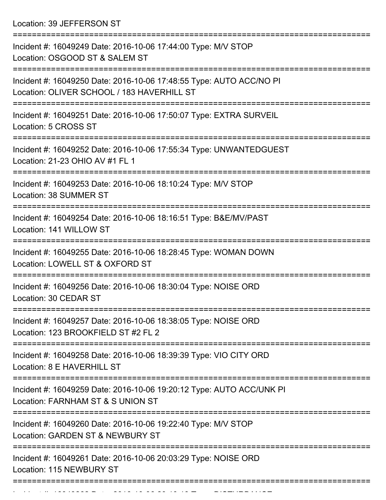Location: 39 JEFFERSON ST

| Incident #: 16049249 Date: 2016-10-06 17:44:00 Type: M/V STOP<br>Location: OSGOOD ST & SALEM ST                   |
|-------------------------------------------------------------------------------------------------------------------|
| Incident #: 16049250 Date: 2016-10-06 17:48:55 Type: AUTO ACC/NO PI<br>Location: OLIVER SCHOOL / 183 HAVERHILL ST |
| Incident #: 16049251 Date: 2016-10-06 17:50:07 Type: EXTRA SURVEIL<br>Location: 5 CROSS ST                        |
| Incident #: 16049252 Date: 2016-10-06 17:55:34 Type: UNWANTEDGUEST<br>Location: 21-23 OHIO AV #1 FL 1             |
| Incident #: 16049253 Date: 2016-10-06 18:10:24 Type: M/V STOP<br>Location: 38 SUMMER ST                           |
| Incident #: 16049254 Date: 2016-10-06 18:16:51 Type: B&E/MV/PAST<br>Location: 141 WILLOW ST                       |
| Incident #: 16049255 Date: 2016-10-06 18:28:45 Type: WOMAN DOWN<br>Location: LOWELL ST & OXFORD ST                |
| Incident #: 16049256 Date: 2016-10-06 18:30:04 Type: NOISE ORD<br>Location: 30 CEDAR ST                           |
| Incident #: 16049257 Date: 2016-10-06 18:38:05 Type: NOISE ORD<br>Location: 123 BROOKFIELD ST #2 FL 2             |
| Incident #: 16049258 Date: 2016-10-06 18:39:39 Type: VIO CITY ORD<br>Location: 8 E HAVERHILL ST                   |
| Incident #: 16049259 Date: 2016-10-06 19:20:12 Type: AUTO ACC/UNK PI<br>Location: FARNHAM ST & S UNION ST         |
| Incident #: 16049260 Date: 2016-10-06 19:22:40 Type: M/V STOP<br>Location: GARDEN ST & NEWBURY ST                 |
| Incident #: 16049261 Date: 2016-10-06 20:03:29 Type: NOISE ORD<br>Location: 115 NEWBURY ST                        |
|                                                                                                                   |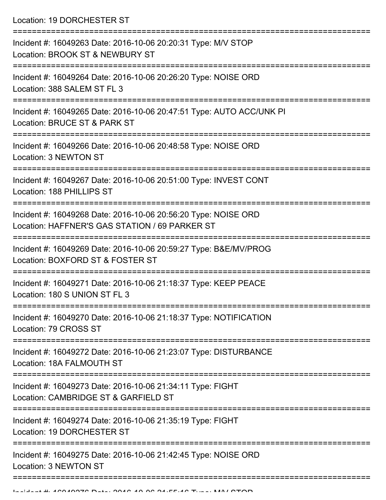Location: 19 DORCHESTER ST

| Incident #: 16049263 Date: 2016-10-06 20:20:31 Type: M/V STOP<br>Location: BROOK ST & NEWBURY ST                           |
|----------------------------------------------------------------------------------------------------------------------------|
| Incident #: 16049264 Date: 2016-10-06 20:26:20 Type: NOISE ORD<br>Location: 388 SALEM ST FL 3                              |
| Incident #: 16049265 Date: 2016-10-06 20:47:51 Type: AUTO ACC/UNK PI<br>Location: BRUCE ST & PARK ST                       |
| Incident #: 16049266 Date: 2016-10-06 20:48:58 Type: NOISE ORD<br>Location: 3 NEWTON ST                                    |
| Incident #: 16049267 Date: 2016-10-06 20:51:00 Type: INVEST CONT<br>Location: 188 PHILLIPS ST                              |
| Incident #: 16049268 Date: 2016-10-06 20:56:20 Type: NOISE ORD<br>Location: HAFFNER'S GAS STATION / 69 PARKER ST           |
| Incident #: 16049269 Date: 2016-10-06 20:59:27 Type: B&E/MV/PROG<br>Location: BOXFORD ST & FOSTER ST                       |
| Incident #: 16049271 Date: 2016-10-06 21:18:37 Type: KEEP PEACE<br>Location: 180 S UNION ST FL 3                           |
| Incident #: 16049270 Date: 2016-10-06 21:18:37 Type: NOTIFICATION<br>Location: 79 CROSS ST                                 |
| Incident #: 16049272 Date: 2016-10-06 21:23:07 Type: DISTURBANCE<br>Location: 18A FALMOUTH ST                              |
| Incident #: 16049273 Date: 2016-10-06 21:34:11 Type: FIGHT<br>Location: CAMBRIDGE ST & GARFIELD ST                         |
| ------------------------------<br>Incident #: 16049274 Date: 2016-10-06 21:35:19 Type: FIGHT<br>Location: 19 DORCHESTER ST |
| Incident #: 16049275 Date: 2016-10-06 21:42:45 Type: NOISE ORD<br>Location: 3 NEWTON ST                                    |
|                                                                                                                            |